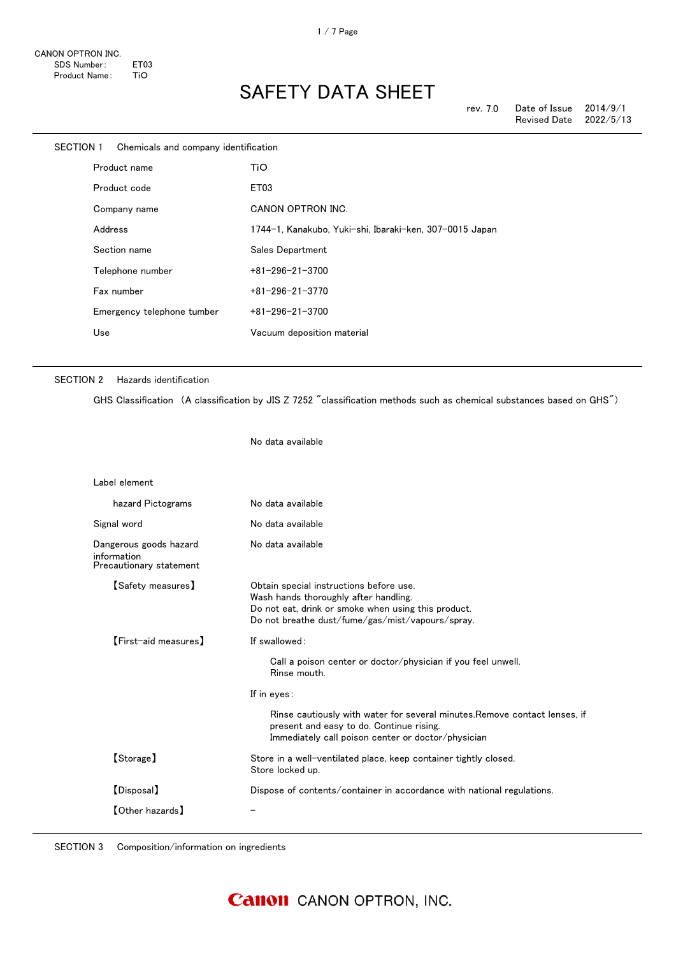| SECTION 1 | Chemicals and company identification |                                                         |
|-----------|--------------------------------------|---------------------------------------------------------|
|           | Product name                         | TiO                                                     |
|           | Product code                         | ET03                                                    |
|           | Company name                         | CANON OPTRON INC.                                       |
|           | Address                              | 1744-1, Kanakubo, Yuki-shi, Ibaraki-ken, 307-0015 Japan |
|           | Section name                         | Sales Department                                        |
|           | Telephone number                     | $+81 - 296 - 21 - 3700$                                 |
|           | Fax number                           | $+81 - 296 - 21 - 3770$                                 |
|           | Emergency telephone tumber           | $+81 - 296 - 21 - 3700$                                 |
|           | Use                                  | Vacuum deposition material                              |
|           |                                      |                                                         |

### SECTION 2 Hazards identification

GHS Classification (A classification by JIS Z 7252 "classification methods such as chemical substances based on GHS")

No data available

| Label element                                                    |                                                                                                                                                                                                                                                                                              |
|------------------------------------------------------------------|----------------------------------------------------------------------------------------------------------------------------------------------------------------------------------------------------------------------------------------------------------------------------------------------|
| hazard Pictograms                                                | No data available                                                                                                                                                                                                                                                                            |
| Signal word                                                      | No data available                                                                                                                                                                                                                                                                            |
| Dangerous goods hazard<br>information<br>Precautionary statement | No data available                                                                                                                                                                                                                                                                            |
| 【Safety measures】                                                | Obtain special instructions before use.<br>Wash hands thoroughly after handling.<br>Do not eat, drink or smoke when using this product.<br>Do not breathe dust/fume/gas/mist/vapours/spray.                                                                                                  |
| [First-aid measures]                                             | If swallowed:<br>Call a poison center or doctor/physician if you feel unwell.<br>Rinse mouth.<br>If in eyes:<br>Rinse cautiously with water for several minutes. Remove contact lenses, if<br>present and easy to do. Continue rising.<br>Immediately call poison center or doctor/physician |
| [Storage]                                                        | Store in a well-ventilated place, keep container tightly closed.<br>Store locked up.                                                                                                                                                                                                         |
| [Disposal]                                                       | Dispose of contents/container in accordance with national regulations.                                                                                                                                                                                                                       |
| $\textsf{[Other hazards]}$                                       |                                                                                                                                                                                                                                                                                              |

SECTION 3 Composition/information on ingredients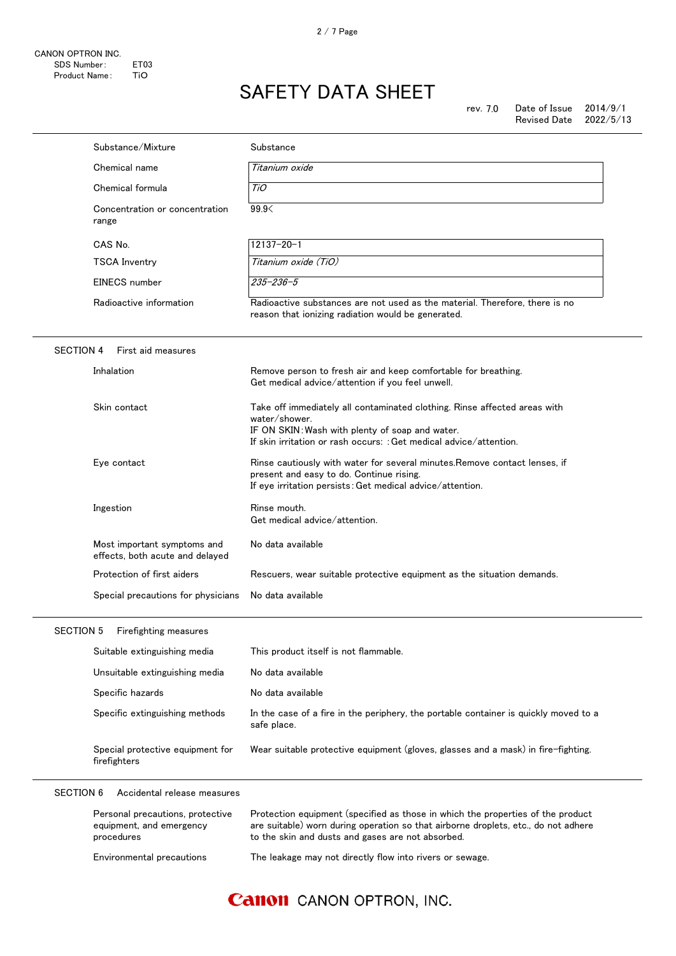|                  | Substance/Mixture                                                          | Substance                                                                                                                                                                                                                  |
|------------------|----------------------------------------------------------------------------|----------------------------------------------------------------------------------------------------------------------------------------------------------------------------------------------------------------------------|
|                  | Chemical name                                                              | Titanium oxide                                                                                                                                                                                                             |
|                  | Chemical formula                                                           | TiO                                                                                                                                                                                                                        |
|                  | Concentration or concentration<br>range                                    | 99.9<                                                                                                                                                                                                                      |
|                  | CAS No.                                                                    | $12137 - 20 - 1$                                                                                                                                                                                                           |
|                  | <b>TSCA Inventry</b>                                                       | Titanium oxide (TiO)                                                                                                                                                                                                       |
|                  | EINECS number                                                              | $235 - 236 - 5$                                                                                                                                                                                                            |
|                  | Radioactive information                                                    | Radioactive substances are not used as the material. Therefore, there is no<br>reason that ionizing radiation would be generated.                                                                                          |
| <b>SECTION 4</b> | First aid measures                                                         |                                                                                                                                                                                                                            |
|                  | Inhalation                                                                 | Remove person to fresh air and keep comfortable for breathing.<br>Get medical advice/attention if you feel unwell.                                                                                                         |
|                  | Skin contact                                                               | Take off immediately all contaminated clothing. Rinse affected areas with<br>water/shower.<br>IF ON SKIN: Wash with plenty of soap and water.<br>If skin irritation or rash occurs: : Get medical advice/attention.        |
|                  | Eye contact                                                                | Rinse cautiously with water for several minutes. Remove contact lenses, if<br>present and easy to do. Continue rising.<br>If eye irritation persists: Get medical advice/attention.                                        |
|                  | Ingestion                                                                  | Rinse mouth.<br>Get medical advice/attention.                                                                                                                                                                              |
|                  | Most important symptoms and<br>effects, both acute and delayed             | No data available                                                                                                                                                                                                          |
|                  | Protection of first aiders                                                 | Rescuers, wear suitable protective equipment as the situation demands.                                                                                                                                                     |
|                  | Special precautions for physicians                                         | No data available                                                                                                                                                                                                          |
| <b>SECTION 5</b> | Firefighting measures                                                      |                                                                                                                                                                                                                            |
|                  | Suitable extinguishing media                                               | This product itself is not flammable.                                                                                                                                                                                      |
|                  | Unsuitable extinguishing media                                             | No data available                                                                                                                                                                                                          |
|                  | Specific hazards                                                           | No data available                                                                                                                                                                                                          |
|                  | Specific extinguishing methods                                             | In the case of a fire in the periphery, the portable container is quickly moved to a<br>safe place.                                                                                                                        |
|                  | Special protective equipment for<br>firefighters                           | Wear suitable protective equipment (gloves, glasses and a mask) in fire-fighting.                                                                                                                                          |
| <b>SECTION 6</b> | Accidental release measures                                                |                                                                                                                                                                                                                            |
|                  | Personal precautions, protective<br>equipment, and emergency<br>procedures | Protection equipment (specified as those in which the properties of the product<br>are suitable) worn during operation so that airborne droplets, etc., do not adhere<br>to the skin and dusts and gases are not absorbed. |
|                  | Environmental precautions                                                  | The leakage may not directly flow into rivers or sewage.                                                                                                                                                                   |

## **Canon** CANON OPTRON, INC.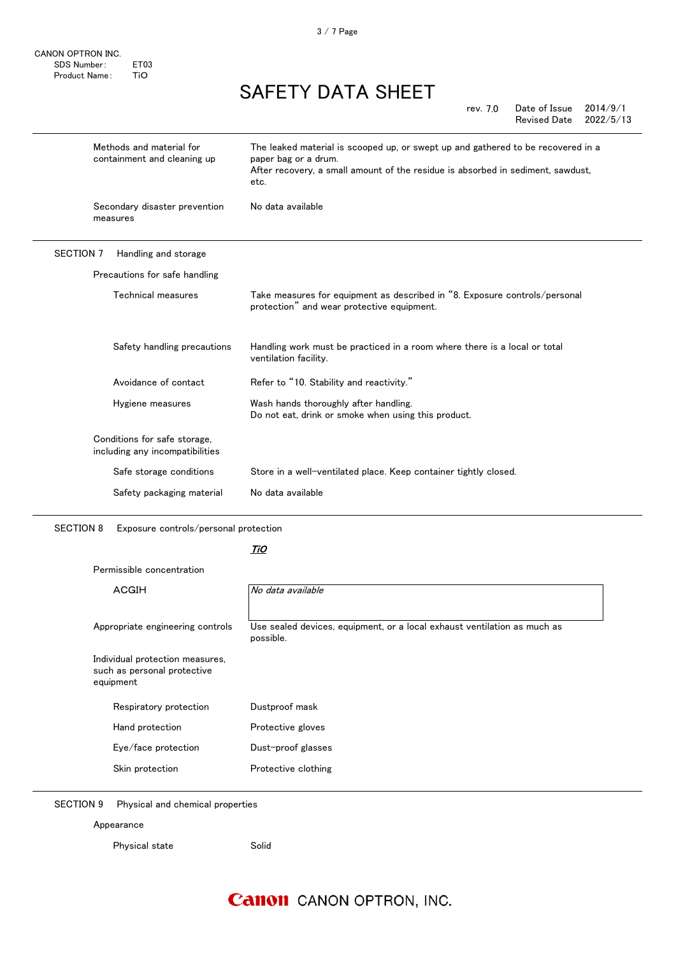CANON OPTRON INC. SDS Number: ET03 Product Name: TiO

# SAFETY DATA SHEET

| rev. 7.0 | Date of Issue       | 2014/9/1  |
|----------|---------------------|-----------|
|          | <b>Revised Date</b> | 2022/5/13 |

|                  | Methods and material for<br>containment and cleaning up         | The leaked material is scooped up, or swept up and gathered to be recovered in a<br>paper bag or a drum.<br>After recovery, a small amount of the residue is absorbed in sediment, sawdust,<br>etc. |
|------------------|-----------------------------------------------------------------|-----------------------------------------------------------------------------------------------------------------------------------------------------------------------------------------------------|
|                  | Secondary disaster prevention<br>measures                       | No data available                                                                                                                                                                                   |
| <b>SECTION 7</b> | Handling and storage                                            |                                                                                                                                                                                                     |
|                  | Precautions for safe handling                                   |                                                                                                                                                                                                     |
|                  | Technical measures                                              | Take measures for equipment as described in "8. Exposure controls/personal<br>protection" and wear protective equipment.                                                                            |
|                  | Safety handling precautions                                     | Handling work must be practiced in a room where there is a local or total<br>ventilation facility.                                                                                                  |
|                  | Avoidance of contact                                            | Refer to "10. Stability and reactivity."                                                                                                                                                            |
|                  | Hygiene measures                                                | Wash hands thoroughly after handling.<br>Do not eat, drink or smoke when using this product.                                                                                                        |
|                  | Conditions for safe storage,<br>including any incompatibilities |                                                                                                                                                                                                     |
|                  | Safe storage conditions                                         | Store in a well-ventilated place. Keep container tightly closed.                                                                                                                                    |
|                  | Safety packaging material                                       | No data available                                                                                                                                                                                   |

SECTION 8 Exposure controls/personal protection

### <u>TiO</u>

Permissible concentration

| <b>ACGIH</b>                                                                | No data available                                                                     |
|-----------------------------------------------------------------------------|---------------------------------------------------------------------------------------|
| Appropriate engineering controls                                            | Use sealed devices, equipment, or a local exhaust ventilation as much as<br>possible. |
| Individual protection measures,<br>such as personal protective<br>equipment |                                                                                       |
| Respiratory protection                                                      | Dustproof mask                                                                        |
| Hand protection                                                             | Protective gloves                                                                     |
| Eye/face protection                                                         | Dust-proof glasses                                                                    |
| Skin protection                                                             | Protective clothing                                                                   |

SECTION 9 Physical and chemical properties

Appearance

Physical state Solid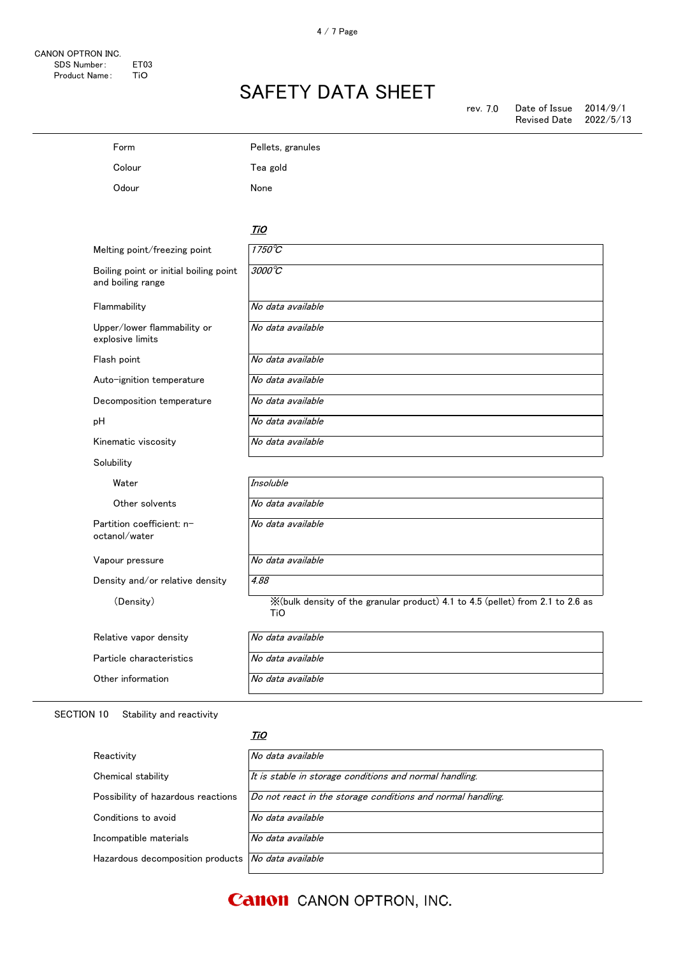| Form                                                        | Pellets, granules                                                                      |
|-------------------------------------------------------------|----------------------------------------------------------------------------------------|
| Colour                                                      | Tea gold                                                                               |
| Odour                                                       | None                                                                                   |
|                                                             |                                                                                        |
|                                                             | TiO                                                                                    |
| Melting point/freezing point                                | $1750^{\circ}$ C                                                                       |
| Boiling point or initial boiling point<br>and boiling range | $3000^{\circ}C$                                                                        |
| Flammability                                                | No data available                                                                      |
| Upper/lower flammability or<br>explosive limits             | No data available                                                                      |
| Flash point                                                 | No data available                                                                      |
| Auto-ignition temperature                                   | No data available                                                                      |
| Decomposition temperature                                   | No data available                                                                      |
| pH                                                          | No data available                                                                      |
| Kinematic viscosity                                         | No data available                                                                      |
| Solubility                                                  |                                                                                        |
| Water                                                       | <b>Insoluble</b>                                                                       |
| Other solvents                                              | No data available                                                                      |
| Partition coefficient: n-<br>octanol/water                  | No data available                                                                      |
| Vapour pressure                                             | No data available                                                                      |
| Density and/or relative density                             | 4.88                                                                                   |
| (Density)                                                   | X (bulk density of the granular product) 4.1 to 4.5 (pellet) from 2.1 to 2.6 as<br>TiO |
| Relative vapor density                                      | No data available                                                                      |
| Particle characteristics                                    | No data available                                                                      |
| Other information                                           | No data available                                                                      |

SECTION 10 Stability and reactivity

#### <u>TiO</u>

| Reactivity                                           | No data available                                           |
|------------------------------------------------------|-------------------------------------------------------------|
| Chemical stability                                   | It is stable in storage conditions and normal handling.     |
| Possibility of hazardous reactions                   | Do not react in the storage conditions and normal handling. |
| Conditions to avoid                                  | No data available                                           |
| Incompatible materials                               | No data available                                           |
| Hazardous decomposition products   No data available |                                                             |

## **Canon** CANON OPTRON, INC.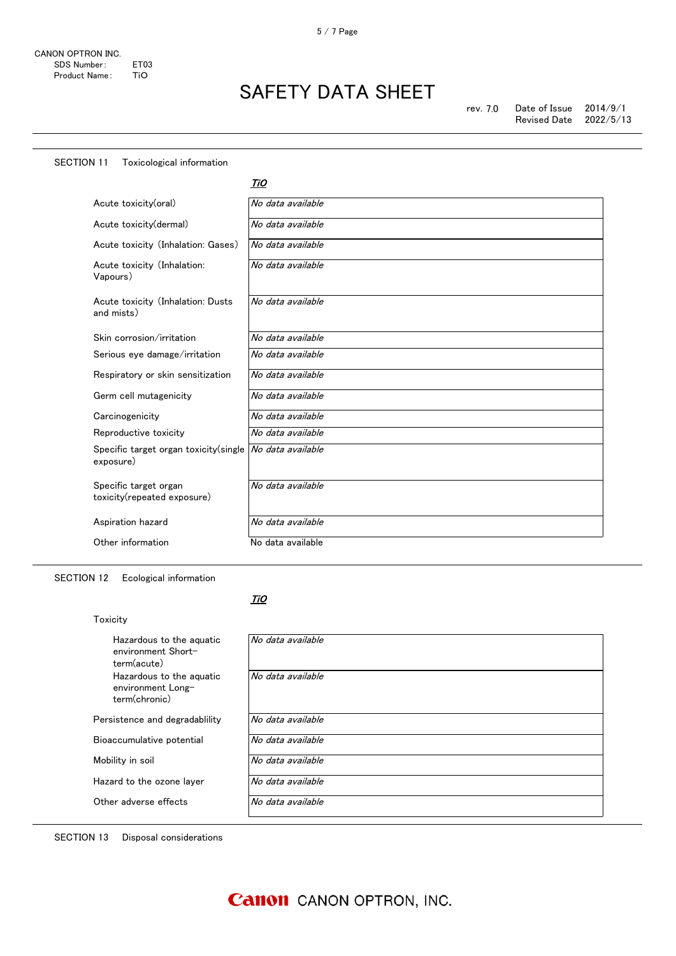| <b>SECTION 11</b><br>Toxicological information       |                   |
|------------------------------------------------------|-------------------|
|                                                      | TiO               |
| Acute toxicity(oral)                                 | No data available |
| Acute toxicity(dermal)                               | No data available |
| Acute toxicity (Inhalation: Gases)                   | No data available |
| Acute toxicity (Inhalation:<br>Vapours)              | No data available |
| Acute toxicity (Inhalation: Dusts<br>and mists)      | No data available |
| Skin corrosion/irritation                            | No data available |
| Serious eye damage/irritation                        | No data available |
| Respiratory or skin sensitization                    | No data available |
| Germ cell mutagenicity                               | No data available |
| Carcinogenicity                                      | No data available |
| Reproductive toxicity                                | No data available |
| Specific target organ toxicity (single<br>exposure)  | No data available |
| Specific target organ<br>toxicity(repeated exposure) | No data available |
| Aspiration hazard                                    | No data available |
| Other information                                    | No data available |

SECTION 12 Ecological information

Toxicity

#### <u>TiO</u>

| Hazardous to the aguatic<br>environment Short-<br>term(acute)  | No data available |
|----------------------------------------------------------------|-------------------|
| Hazardous to the aguatic<br>environment Long-<br>term(chronic) | No data available |
| Persistence and degradablility                                 | No data available |
| Bioaccumulative potential                                      | No data available |
| Mobility in soil                                               | No data available |
| Hazard to the ozone layer                                      | No data available |
| Other adverse effects                                          | No data available |
|                                                                |                   |

SECTION 13 Disposal considerations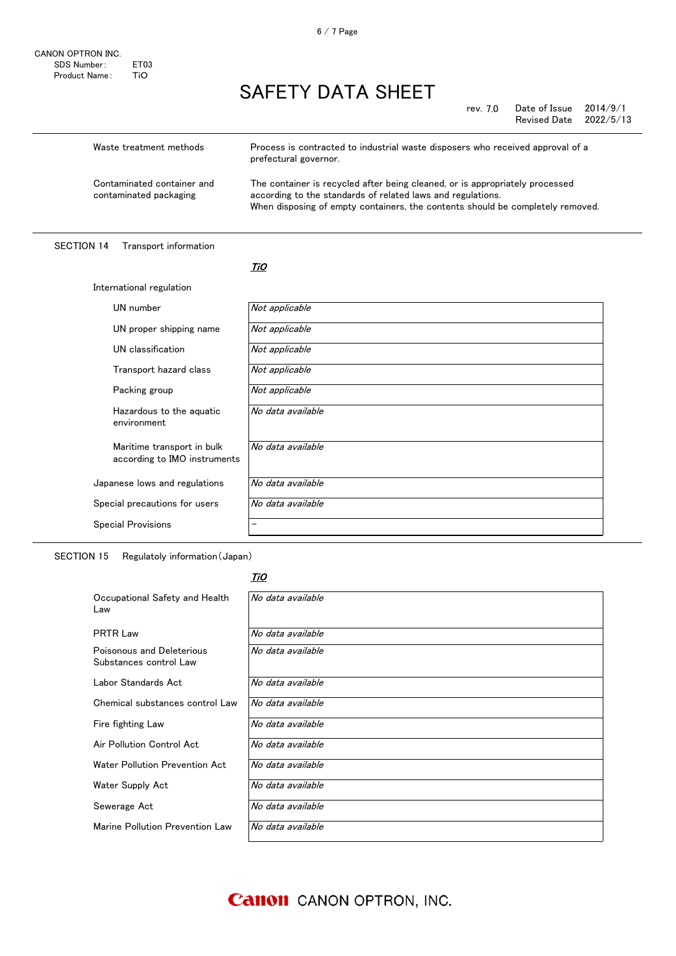| Waste treatment methods                              | Process is contracted to industrial waste disposers who received approval of a<br>prefectural governor.                                                                                                                       |
|------------------------------------------------------|-------------------------------------------------------------------------------------------------------------------------------------------------------------------------------------------------------------------------------|
| Contaminated container and<br>contaminated packaging | The container is recycled after being cleaned, or is appropriately processed<br>according to the standards of related laws and regulations.<br>When disposing of empty containers, the contents should be completely removed. |

### SECTION 14 Transport information

#### <u>TiO</u>

| International regulation                                   |                   |
|------------------------------------------------------------|-------------------|
| UN number                                                  | Not applicable    |
| UN proper shipping name                                    | Not applicable    |
| UN classification                                          | Not applicable    |
| Transport hazard class                                     | Not applicable    |
| Packing group                                              | Not applicable    |
| Hazardous to the aquatic<br>environment                    | No data available |
| Maritime transport in bulk<br>according to IMO instruments | No data available |
| Japanese lows and regulations                              | No data available |
| Special precautions for users                              | No data available |
| <b>Special Provisions</b>                                  |                   |

SECTION 15 Regulatoly information(Japan)

### <u>TiO</u>

| Occupational Safety and Health<br>Law               | No data available |
|-----------------------------------------------------|-------------------|
| <b>PRTR Law</b>                                     | No data available |
| Poisonous and Deleterious<br>Substances control Law | No data available |
| Labor Standards Act                                 | No data available |
| Chemical substances control Law                     | No data available |
| Fire fighting Law                                   | No data available |
| Air Pollution Control Act                           | No data available |
| Water Pollution Prevention Act                      | No data available |
| Water Supply Act                                    | No data available |
| Sewerage Act                                        | No data available |
| Marine Pollution Prevention Law                     | No data available |